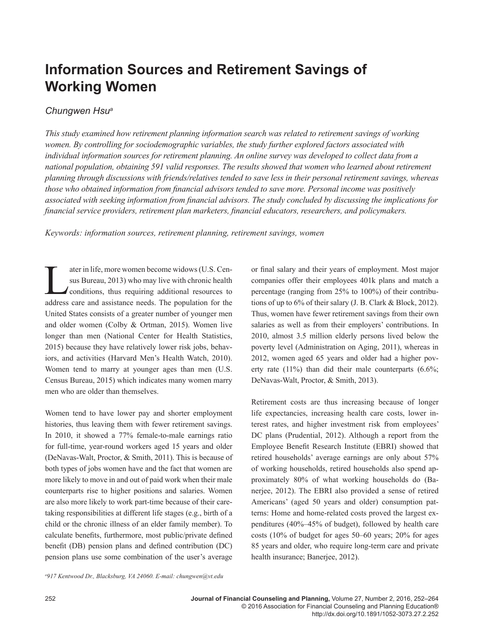# **Information Sources and Retirement Savings of Working Women**

## *Chungwen Hsua*

*This study examined how retirement planning information search was related to retirement savings of working women. By controlling for sociodemographic variables, the study further explored factors associated with*  individual information sources for retirement planning. An online survey was developed to collect data from a *national population, obtaining 591 valid responses. The results showed that women who learned about retirement planning through discussions with friends/relatives tended to save less in their personal retirement savings, whereas those who obtained information from financial advisors tended to save more. Personal income was positively associated with seeking information from financial advisors. The study concluded by discussing the implications for financial service providers, retirement plan marketers, financial educators, researchers, and policymakers.*

*Keywords: information sources, retirement planning, retirement savings, women*

ater in life, more women become widows (U.S. Cen-<br>sus Bureau, 2013) who may live with chronic health<br>conditions, thus requiring additional resources to<br>address care and assistance needs. The population for the sus Bureau, 2013) who may live with chronic health conditions, thus requiring additional resources to address care and assistance needs. The population for the United States consists of a greater number of younger men and older women (Colby & Ortman, 2015). Women live longer than men (National Center for Health Statistics, 2015) because they have relatively lower risk jobs, behaviors, and activities (Harvard Men's Health Watch, 2010). Women tend to marry at younger ages than men (U.S. Census Bureau, 2015) which indicates many women marry men who are older than themselves.

Women tend to have lower pay and shorter employment histories, thus leaving them with fewer retirement savings. In 2010, it showed a 77% female-to-male earnings ratio for full-time, year-round workers aged 15 years and older (DeNavas-Walt, Proctor, & Smith, 2011). This is because of both types of jobs women have and the fact that women are more likely to move in and out of paid work when their male counterparts rise to higher positions and salaries. Women are also more likely to work part-time because of their caretaking responsibilities at different life stages (e.g., birth of a child or the chronic illness of an elder family member). To calculate benefits, furthermore, most public/private defined benefit (DB) pension plans and defined contribution (DC) pension plans use some combination of the user's average or final salary and their years of employment. Most major companies offer their employees 401k plans and match a percentage (ranging from 25% to 100%) of their contributions of up to 6% of their salary (J. B. Clark & Block, 2012). Thus, women have fewer retirement savings from their own salaries as well as from their employers' contributions. In 2010, almost 3.5 million elderly persons lived below the poverty level (Administration on Aging, 2011), whereas in 2012, women aged 65 years and older had a higher poverty rate  $(11\%)$  than did their male counterparts  $(6.6\%;$ DeNavas-Walt, Proctor, & Smith, 2013).

Retirement costs are thus increasing because of longer life expectancies, increasing health care costs, lower interest rates, and higher investment risk from employees' DC plans (Prudential, 2012). Although a report from the Employee Benefit Research Institute (EBRI) showed that retired households' average earnings are only about 57% of working households, retired households also spend approximately 80% of what working households do (Banerjee, 2012). The EBRI also provided a sense of retired Americans' (aged 50 years and older) consumption patterns: Home and home-related costs proved the largest expenditures (40%–45% of budget), followed by health care costs (10% of budget for ages 50–60 years; 20% for ages 85 years and older, who require long-term care and private health insurance; Banerjee, 2012).

*a 917 Kentwood Dr., Blacksburg, VA 24060. E-mail: chungwen@vt.edu*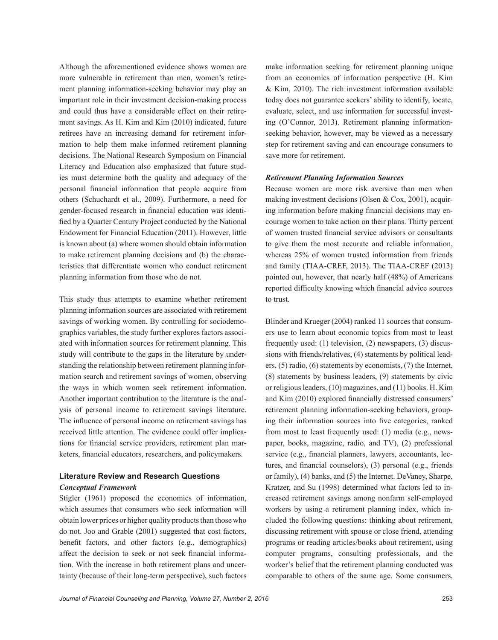Although the aforementioned evidence shows women are more vulnerable in retirement than men, women's retirement planning information-seeking behavior may play an important role in their investment decision-making process and could thus have a considerable effect on their retirement savings. As H. Kim and Kim (2010) indicated, future retirees have an increasing demand for retirement information to help them make informed retirement planning decisions. The National Research Symposium on Financial Literacy and Education also emphasized that future studies must determine both the quality and adequacy of the personal financial information that people acquire from others (Schuchardt et al., 2009). Furthermore, a need for gender-focused research in financial education was identified by a Quarter Century Project conducted by the National Endowment for Financial Education (2011). However, little is known about (a) where women should obtain information to make retirement planning decisions and (b) the characteristics that differentiate women who conduct retirement planning information from those who do not.

This study thus attempts to examine whether retirement planning information sources are associated with retirement savings of working women. By controlling for sociodemographics variables, the study further explores factors associated with information sources for retirement planning. This study will contribute to the gaps in the literature by understanding the relationship between retirement planning information search and retirement savings of women, observing the ways in which women seek retirement information. Another important contribution to the literature is the analysis of personal income to retirement savings literature. The influence of personal income on retirement savings has received little attention. The evidence could offer implications for financial service providers, retirement plan marketers, financial educators, researchers, and policymakers.

## **Literature Review and Research Questions** *Conceptual Framework*

Stigler (1961) proposed the economics of information, which assumes that consumers who seek information will obtain lower prices or higher quality products than those who do not. Joo and Grable (2001) suggested that cost factors, benefit factors, and other factors (e.g., demographics) affect the decision to seek or not seek financial information. With the increase in both retirement plans and uncertainty (because of their long-term perspective), such factors make information seeking for retirement planning unique from an economics of information perspective (H. Kim & Kim, 2010). The rich investment information available today does not guarantee seekers' ability to identify, locate, evaluate, select, and use information for successful investing (O'Connor, 2013). Retirement planning informationseeking behavior, however, may be viewed as a necessary step for retirement saving and can encourage consumers to save more for retirement.

## *Retirement Planning Information Sources*

Because women are more risk aversive than men when making investment decisions (Olsen & Cox, 2001), acquiring information before making financial decisions may encourage women to take action on their plans. Thirty percent of women trusted financial service advisors or consultants to give them the most accurate and reliable information, whereas 25% of women trusted information from friends and family (TIAA-CREF, 2013). The TIAA-CREF (2013) pointed out, however, that nearly half (48%) of Americans reported difficulty knowing which financial advice sources to trust.

Blinder and Krueger (2004) ranked 11 sources that consumers use to learn about economic topics from most to least frequently used: (1) television, (2) newspapers, (3) discussions with friends/relatives, (4) statements by political leaders, (5) radio, (6) statements by economists, (7) the Internet, (8) statements by business leaders, (9) statements by civic or religious leaders, (10) magazines, and (11) books. H. Kim and Kim (2010) explored financially distressed consumers' retirement planning information-seeking behaviors, grouping their information sources into five categories, ranked from most to least frequently used: (1) media (e.g., newspaper, books, magazine, radio, and TV), (2) professional service (e.g., financial planners, lawyers, accountants, lectures, and financial counselors), (3) personal (e.g., friends or family), (4) banks, and (5) the Internet. DeVaney, Sharpe, Kratzer, and Su (1998) determined what factors led to increased retirement savings among nonfarm self-employed workers by using a retirement planning index, which included the following questions: thinking about retirement, discussing retirement with spouse or close friend, attending programs or reading articles/books about retirement, using computer programs, consulting professionals, and the worker's belief that the retirement planning conducted was comparable to others of the same age. Some consumers,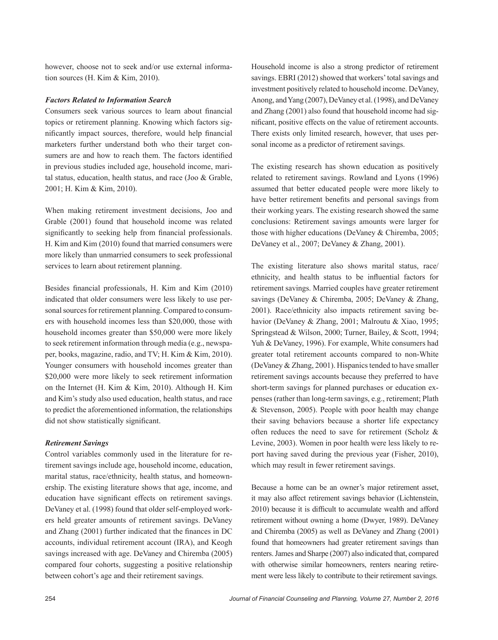however, choose not to seek and/or use external information sources (H. Kim & Kim, 2010).

#### *Factors Related to Information Search*

Consumers seek various sources to learn about financial topics or retirement planning. Knowing which factors significantly impact sources, therefore, would help financial marketers further understand both who their target consumers are and how to reach them. The factors identified in previous studies included age, household income, marital status, education, health status, and race (Joo & Grable, 2001; H. Kim & Kim, 2010).

When making retirement investment decisions, Joo and Grable (2001) found that household income was related significantly to seeking help from financial professionals. H. Kim and Kim (2010) found that married consumers were more likely than unmarried consumers to seek professional services to learn about retirement planning.

Besides financial professionals, H. Kim and Kim (2010) indicated that older consumers were less likely to use personal sources for retirement planning. Compared to consumers with household incomes less than \$20,000, those with household incomes greater than \$50,000 were more likely to seek retirement information through media (e.g., newspaper, books, magazine, radio, and TV; H. Kim & Kim, 2010). Younger consumers with household incomes greater than \$20,000 were more likely to seek retirement information on the Internet (H. Kim & Kim, 2010). Although H. Kim and Kim's study also used education, health status, and race to predict the aforementioned information, the relationships did not show statistically significant.

#### *Retirement Savings*

Control variables commonly used in the literature for retirement savings include age, household income, education, marital status, race/ethnicity, health status, and homeownership. The existing literature shows that age, income, and education have significant effects on retirement savings. DeVaney et al. (1998) found that older self-employed workers held greater amounts of retirement savings. DeVaney and Zhang (2001) further indicated that the finances in DC accounts, individual retirement account (IRA), and Keogh savings increased with age. DeVaney and Chiremba (2005) compared four cohorts, suggesting a positive relationship between cohort's age and their retirement savings.

Household income is also a strong predictor of retirement savings. EBRI (2012) showed that workers' total savings and investment positively related to household income. DeVaney, Anong, and Yang (2007), DeVaney et al. (1998), and DeVaney and Zhang (2001) also found that household income had significant, positive effects on the value of retirement accounts. There exists only limited research, however, that uses personal income as a predictor of retirement savings.

The existing research has shown education as positively related to retirement savings. Rowland and Lyons (1996) assumed that better educated people were more likely to have better retirement benefits and personal savings from their working years. The existing research showed the same conclusions: Retirement savings amounts were larger for those with higher educations (DeVaney & Chiremba, 2005; DeVaney et al., 2007; DeVaney & Zhang, 2001).

The existing literature also shows marital status, race/ ethnicity, and health status to be influential factors for retirement savings. Married couples have greater retirement savings (DeVaney & Chiremba, 2005; DeVaney & Zhang, 2001). Race/ethnicity also impacts retirement saving behavior (DeVaney & Zhang, 2001; Malroutu & Xiao, 1995; Springstead & Wilson, 2000; Turner, Bailey, & Scott, 1994; Yuh & DeVaney, 1996). For example, White consumers had greater total retirement accounts compared to non-White (DeVaney & Zhang, 2001). Hispanics tended to have smaller retirement savings accounts because they preferred to have short-term savings for planned purchases or education expenses (rather than long-term savings, e.g., retirement; Plath & Stevenson, 2005). People with poor health may change their saving behaviors because a shorter life expectancy often reduces the need to save for retirement (Scholz & Levine, 2003). Women in poor health were less likely to report having saved during the previous year (Fisher, 2010), which may result in fewer retirement savings.

Because a home can be an owner's major retirement asset, it may also affect retirement savings behavior (Lichtenstein, 2010) because it is difficult to accumulate wealth and afford retirement without owning a home (Dwyer, 1989). DeVaney and Chiremba (2005) as well as DeVaney and Zhang (2001) found that homeowners had greater retirement savings than renters. James and Sharpe (2007) also indicated that, compared with otherwise similar homeowners, renters nearing retirement were less likely to contribute to their retirement savings.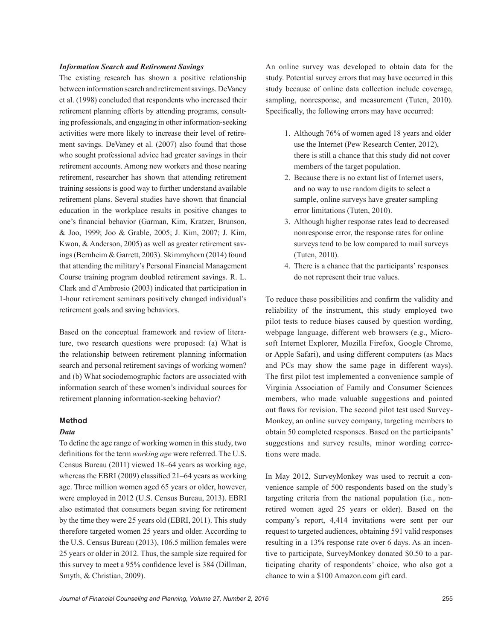### *Information Search and Retirement Savings*

The existing research has shown a positive relationship between information search and retirement savings. DeVaney et al. (1998) concluded that respondents who increased their retirement planning efforts by attending programs, consulting professionals, and engaging in other information-seeking activities were more likely to increase their level of retirement savings. DeVaney et al. (2007) also found that those who sought professional advice had greater savings in their retirement accounts. Among new workers and those nearing retirement, researcher has shown that attending retirement training sessions is good way to further understand available retirement plans. Several studies have shown that financial education in the workplace results in positive changes to one's financial behavior (Garman, Kim, Kratzer, Brunson, & Joo, 1999; Joo & Grable, 2005; J. Kim, 2007; J. Kim, Kwon, & Anderson, 2005) as well as greater retirement savings (Bernheim & Garrett, 2003). Skimmyhorn (2014) found that attending the military's Personal Financial Management Course training program doubled retirement savings. R. L. Clark and d'Ambrosio (2003) indicated that participation in 1-hour retirement seminars positively changed individual's retirement goals and saving behaviors.

Based on the conceptual framework and review of literature, two research questions were proposed: (a) What is the relationship between retirement planning information search and personal retirement savings of working women? and (b) What sociodemographic factors are associated with information search of these women's individual sources for retirement planning information-seeking behavior?

## **Method**

## *Data*

To define the age range of working women in this study, two definitions for the term *working age* were referred. The U.S. Census Bureau (2011) viewed 18–64 years as working age, whereas the EBRI (2009) classified 21–64 years as working age. Three million women aged 65 years or older, however, were employed in 2012 (U.S. Census Bureau, 2013). EBRI also estimated that consumers began saving for retirement by the time they were 25 years old (EBRI, 2011). This study therefore targeted women 25 years and older. According to the U.S. Census Bureau (2013), 106.5 million females were 25 years or older in 2012. Thus, the sample size required for this survey to meet a 95% confidence level is 384 (Dillman, Smyth, & Christian, 2009).

An online survey was developed to obtain data for the study. Potential survey errors that may have occurred in this study because of online data collection include coverage, sampling, nonresponse, and measurement (Tuten, 2010). Specifically, the following errors may have occurred:

- 1. Although 76% of women aged 18 years and older use the Internet (Pew Research Center, 2012), there is still a chance that this study did not cover members of the target population.
- 2. Because there is no extant list of Internet users, and no way to use random digits to select a sample, online surveys have greater sampling error limitations (Tuten, 2010).
- 3. Although higher response rates lead to decreased nonresponse error, the response rates for online surveys tend to be low compared to mail surveys (Tuten, 2010).
- 4. There is a chance that the participants' responses do not represent their true values.

To reduce these possibilities and confirm the validity and reliability of the instrument, this study employed two pilot tests to reduce biases caused by question wording, webpage language, different web browsers (e.g., Microsoft Internet Explorer, Mozilla Firefox, Google Chrome, or Apple Safari), and using different computers (as Macs and PCs may show the same page in different ways). The first pilot test implemented a convenience sample of Virginia Association of Family and Consumer Sciences members, who made valuable suggestions and pointed out flaws for revision. The second pilot test used Survey-Monkey, an online survey company, targeting members to obtain 50 completed responses. Based on the participants' suggestions and survey results, minor wording corrections were made.

In May 2012, SurveyMonkey was used to recruit a convenience sample of 500 respondents based on the study's targeting criteria from the national population (i.e., nonretired women aged 25 years or older). Based on the company's report, 4,414 invitations were sent per our request to targeted audiences, obtaining 591 valid responses resulting in a 13% response rate over 6 days. As an incentive to participate, SurveyMonkey donated \$0.50 to a participating charity of respondents' choice, who also got a chance to win a \$100 Amazon.com gift card.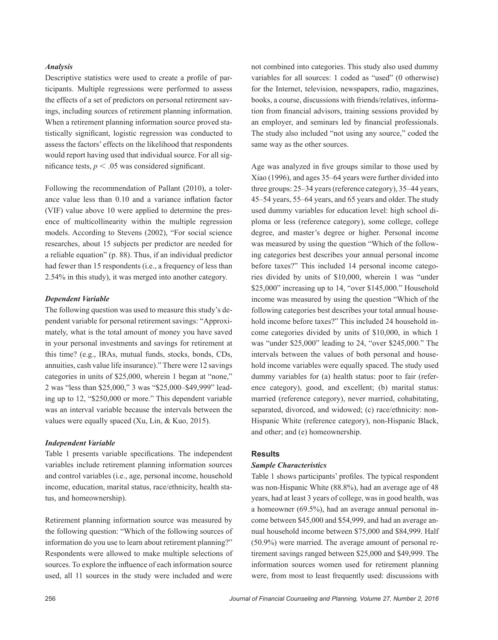## *Analysis*

Descriptive statistics were used to create a profile of participants. Multiple regressions were performed to assess the effects of a set of predictors on personal retirement savings, including sources of retirement planning information. When a retirement planning information source proved statistically significant, logistic regression was conducted to assess the factors' effects on the likelihood that respondents would report having used that individual source. For all significance tests,  $p < .05$  was considered significant.

Following the recommendation of Pallant (2010), a tolerance value less than 0.10 and a variance inflation factor (VIF) value above 10 were applied to determine the presence of multicollinearity within the multiple regression models. According to Stevens (2002), "For social science researches, about 15 subjects per predictor are needed for a reliable equation" (p. 88). Thus, if an individual predictor had fewer than 15 respondents (i.e., a frequency of less than 2.54% in this study), it was merged into another category.

## *Dependent Variable*

The following question was used to measure this study's dependent variable for personal retirement savings: "Approximately, what is the total amount of money you have saved in your personal investments and savings for retirement at this time? (e.g., IRAs, mutual funds, stocks, bonds, CDs, annuities, cash value life insurance)." There were 12 savings categories in units of \$25,000, wherein 1 began at "none," 2 was "less than \$25,000," 3 was "\$25,000–\$49,999" leading up to 12, "\$250,000 or more." This dependent variable was an interval variable because the intervals between the values were equally spaced (Xu, Lin, & Kuo, 2015).

#### *Independent Variable*

Table 1 presents variable specifications. The independent variables include retirement planning information sources and control variables (i.e., age, personal income, household income, education, marital status, race/ethnicity, health status, and homeownership).

Retirement planning information source was measured by the following question: "Which of the following sources of information do you use to learn about retirement planning?" Respondents were allowed to make multiple selections of sources. To explore the influence of each information source used, all 11 sources in the study were included and were

not combined into categories. This study also used dummy variables for all sources: 1 coded as "used" (0 otherwise) for the Internet, television, newspapers, radio, magazines, books, a course, discussions with friends/relatives, information from financial advisors, training sessions provided by an employer, and seminars led by financial professionals. The study also included "not using any source," coded the same way as the other sources.

Age was analyzed in five groups similar to those used by Xiao (1996), and ages 35–64 years were further divided into three groups: 25–34 years (reference category), 35–44 years, 45–54 years, 55–64 years, and 65 years and older. The study used dummy variables for education level: high school diploma or less (reference category), some college, college degree, and master's degree or higher. Personal income was measured by using the question "Which of the following categories best describes your annual personal income before taxes?" This included 14 personal income categories divided by units of \$10,000, wherein 1 was "under \$25,000" increasing up to 14, "over \$145,000." Household income was measured by using the question "Which of the following categories best describes your total annual household income before taxes?" This included 24 household income categories divided by units of \$10,000, in which 1 was "under \$25,000" leading to 24, "over \$245,000." The intervals between the values of both personal and household income variables were equally spaced. The study used dummy variables for (a) health status: poor to fair (reference category), good, and excellent; (b) marital status: married (reference category), never married, cohabitating, separated, divorced, and widowed; (c) race/ethnicity: non-Hispanic White (reference category), non-Hispanic Black, and other; and (e) homeownership.

## **Results**

## *Sample Characteristics*

Table 1 shows participants' profiles. The typical respondent was non-Hispanic White (88.8%), had an average age of 48 years, had at least 3 years of college, was in good health, was a homeowner (69.5%), had an average annual personal income between \$45,000 and \$54,999, and had an average annual household income between \$75,000 and \$84,999. Half (50.9%) were married. The average amount of personal retirement savings ranged between \$25,000 and \$49,999. The information sources women used for retirement planning were, from most to least frequently used: discussions with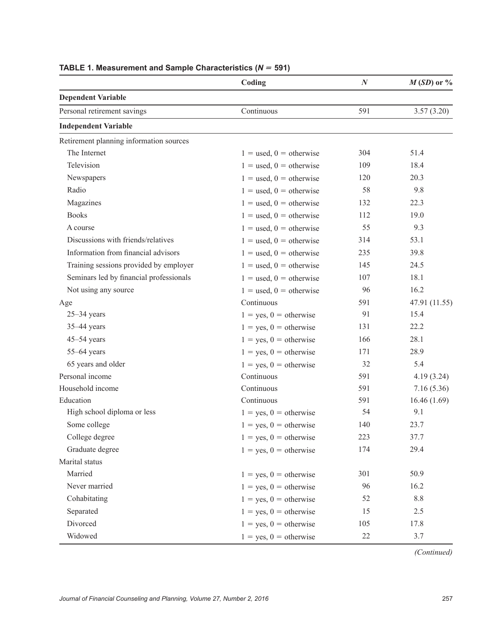|                                         | Coding                      | $\boldsymbol{N}$ | $M(SD)$ or %  |
|-----------------------------------------|-----------------------------|------------------|---------------|
| <b>Dependent Variable</b>               |                             |                  |               |
| Personal retirement savings             | Continuous                  | 591              | 3.57(3.20)    |
| <b>Independent Variable</b>             |                             |                  |               |
| Retirement planning information sources |                             |                  |               |
| The Internet                            | $1 =$ used, $0 =$ otherwise | 304              | 51.4          |
| Television                              | $1 =$ used, $0 =$ otherwise | 109              | 18.4          |
| Newspapers                              | $1 =$ used, $0 =$ otherwise | 120              | 20.3          |
| Radio                                   | $1 =$ used, $0 =$ otherwise | 58               | 9.8           |
| Magazines                               | $1 =$ used, $0 =$ otherwise | 132              | 22.3          |
| <b>Books</b>                            | $1 =$ used, $0 =$ otherwise | 112              | 19.0          |
| A course                                | $1 =$ used, $0 =$ otherwise | 55               | 9.3           |
| Discussions with friends/relatives      | $1 =$ used, $0 =$ otherwise | 314              | 53.1          |
| Information from financial advisors     | $1 =$ used, $0 =$ otherwise | 235              | 39.8          |
| Training sessions provided by employer  | $1 =$ used, $0 =$ otherwise | 145              | 24.5          |
| Seminars led by financial professionals | $1 =$ used, $0 =$ otherwise | 107              | 18.1          |
| Not using any source                    | $1 =$ used, $0 =$ otherwise | 96               | 16.2          |
| Age                                     | Continuous                  | 591              | 47.91 (11.55) |
| $25 - 34$ years                         | $1 = yes, 0 = otherwise$    | 91               | 15.4          |
| $35-44$ years                           | $1 = yes, 0 = otherwise$    | 131              | 22.2          |
| $45 - 54$ years                         | $1 = yes, 0 = otherwise$    | 166              | 28.1          |
| $55-64$ years                           | $1 = yes, 0 = otherwise$    | 171              | 28.9          |
| 65 years and older                      | $1 = yes, 0 = otherwise$    | 32               | 5.4           |
| Personal income                         | Continuous                  | 591              | 4.19(3.24)    |
| Household income                        | Continuous                  | 591              | 7.16(5.36)    |
| Education                               | Continuous                  | 591              | 16.46(1.69)   |
| High school diploma or less             | $1 = yes, 0 = otherwise$    | 54               | 9.1           |
| Some college                            | $1 = yes, 0 = otherwise$    | 140              | 23.7          |
| College degree                          | $1 = yes, 0 = otherwise$    | 223              | 37.7          |
| Graduate degree                         | $1 = yes, 0 = otherwise$    | 174              | 29.4          |
| Marital status                          |                             |                  |               |
| Married                                 | $1 = yes, 0 = otherwise$    | 301              | 50.9          |
| Never married                           | $1 = yes, 0 = otherwise$    | 96               | 16.2          |
| Cohabitating                            | $1 = yes, 0 = otherwise$    | 52               | 8.8           |
| Separated                               | $1 = yes, 0 = otherwise$    | 15               | 2.5           |
| Divorced                                | $1 = yes, 0 = otherwise$    | 105              | 17.8          |
| Widowed                                 | $1 = yes, 0 = otherwise$    | 22               | 3.7           |

# **TABLE 1. Measurement and Sample Characteristics (***N 5* **591)**

*(Continued)*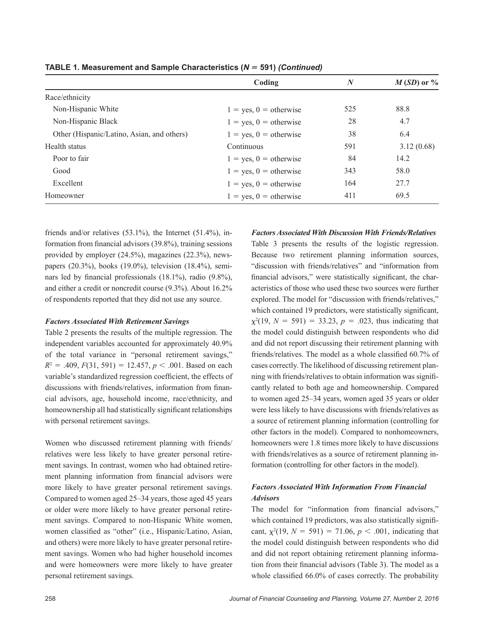|                                            | Coding                   | $\bm{N}$ | $M(SD)$ or % |
|--------------------------------------------|--------------------------|----------|--------------|
| Race/ethnicity                             |                          |          |              |
| Non-Hispanic White                         | $1 = yes, 0 = otherwise$ | 525      | 88.8         |
| Non-Hispanic Black                         | $1 = yes, 0 = otherwise$ | 28       | 4.7          |
| Other (Hispanic/Latino, Asian, and others) | $1 = yes, 0 = otherwise$ | 38       | 6.4          |
| Health status                              | Continuous               | 591      | 3.12(0.68)   |
| Poor to fair                               | $1 = yes, 0 = otherwise$ | 84       | 14.2         |
| Good                                       | $1 = yes, 0 = otherwise$ | 343      | 58.0         |
| Excellent                                  | $1 = yes, 0 = otherwise$ | 164      | 27.7         |
| Homeowner                                  | $1 = yes, 0 = otherwise$ | 411      | 69.5         |

**TABLE 1. Measurement and Sample Characteristics (***N 5* **591)** *(Continued)*

friends and/or relatives (53.1%), the Internet (51.4%), information from financial advisors (39.8%), training sessions provided by employer (24.5%), magazines (22.3%), newspapers (20.3%), books (19.0%), television (18.4%), seminars led by financial professionals (18.1%), radio (9.8%), and either a credit or noncredit course (9.3%). About 16.2% of respondents reported that they did not use any source.

#### *Factors Associated With Retirement Savings*

Table 2 presents the results of the multiple regression. The independent variables accounted for approximately 40.9% of the total variance in "personal retirement savings,"  $R^2 = .409, F(31, 591) = 12.457, p < .001$ . Based on each variable's standardized regression coefficient, the effects of discussions with friends/relatives, information from financial advisors, age, household income, race/ethnicity, and homeownership all had statistically significant relationships with personal retirement savings.

Women who discussed retirement planning with friends/ relatives were less likely to have greater personal retirement savings. In contrast, women who had obtained retirement planning information from financial advisors were more likely to have greater personal retirement savings. Compared to women aged 25–34 years, those aged 45 years or older were more likely to have greater personal retirement savings. Compared to non-Hispanic White women, women classified as "other" (i.e., Hispanic/Latino, Asian, and others) were more likely to have greater personal retirement savings. Women who had higher household incomes and were homeowners were more likely to have greater personal retirement savings.

#### *Factors Associated With Discussion With Friends/Relatives*

Table 3 presents the results of the logistic regression. Because two retirement planning information sources, "discussion with friends/relatives" and "information from financial advisors," were statistically significant, the characteristics of those who used these two sources were further explored. The model for "discussion with friends/relatives," which contained 19 predictors, were statistically significant,  $\chi^2(19, N = 591) = 33.23, p = .023$ , thus indicating that the model could distinguish between respondents who did and did not report discussing their retirement planning with friends/relatives. The model as a whole classified 60.7% of cases correctly. The likelihood of discussing retirement planning with friends/relatives to obtain information was significantly related to both age and homeownership. Compared to women aged 25–34 years, women aged 35 years or older were less likely to have discussions with friends/relatives as a source of retirement planning information (controlling for other factors in the model). Compared to nonhomeowners, homeowners were 1.8 times more likely to have discussions with friends/relatives as a source of retirement planning information (controlling for other factors in the model).

## *Factors Associated With Information From Financial Advisors*

The model for "information from financial advisors," which contained 19 predictors, was also statistically significant,  $\chi^2(19, N = 591) = 71.06, p < .001$ , indicating that the model could distinguish between respondents who did and did not report obtaining retirement planning information from their financial advisors (Table 3). The model as a whole classified 66.0% of cases correctly. The probability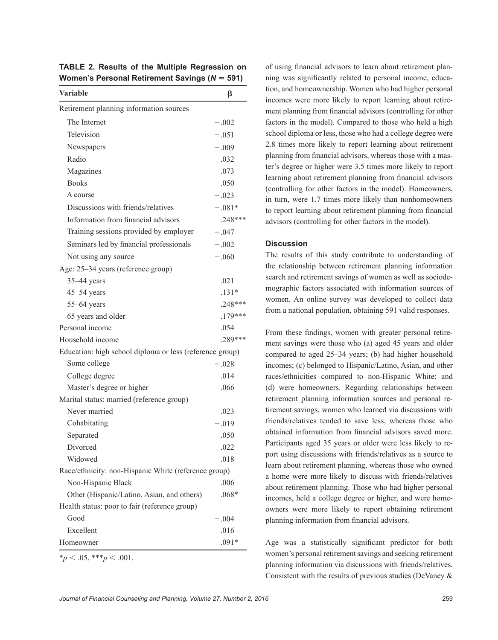| <b>Variable</b>                                          | β         |
|----------------------------------------------------------|-----------|
| Retirement planning information sources                  |           |
| The Internet                                             | $-.002$   |
| Television                                               | $-.051$   |
| Newspapers                                               | $-.009$   |
| Radio                                                    | .032      |
| Magazines                                                | .073      |
| <b>Books</b>                                             | .050      |
| A course                                                 | $-.023$   |
| Discussions with friends/relatives                       | $-.081*$  |
| Information from financial advisors                      | $.248***$ |
| Training sessions provided by employer                   | $-.047$   |
| Seminars led by financial professionals                  | $-.002$   |
| Not using any source                                     | $-.060$   |
| Age: 25-34 years (reference group)                       |           |
| 35-44 years                                              | .021      |
| $45 - 54$ years                                          | $.131*$   |
| 55-64 years                                              | .248***   |
| 65 years and older                                       | $.179***$ |
| Personal income                                          | .054      |
| Household income                                         | .289***   |
| Education: high school diploma or less (reference group) |           |
| Some college                                             | $-.028$   |
| College degree                                           | .014      |
| Master's degree or higher                                | .066      |
| Marital status: married (reference group)                |           |
| Never married                                            | .023      |
| Cohabitating                                             | $-.019$   |
| Separated                                                | .050      |
| Divorced                                                 | .022      |
| Widowed                                                  | .018      |
| Race/ethnicity: non-Hispanic White (reference group)     |           |
| Non-Hispanic Black                                       | .006      |
| Other (Hispanic/Latino, Asian, and others)               | $.068*$   |
| Health status: poor to fair (reference group)            |           |
| Good                                                     | $-.004$   |
| Excellent                                                | .016      |
| Homeowner                                                | $.091*$   |

**TABLE 2. Results of the Multiple Regression on Women's Personal Retirement Savings (***N* **5 591)**

of using financial advisors to learn about retirement planning was significantly related to personal income, education, and homeownership. Women who had higher personal incomes were more likely to report learning about retirement planning from financial advisors (controlling for other factors in the model). Compared to those who held a high school diploma or less, those who had a college degree were 2.8 times more likely to report learning about retirement planning from financial advisors, whereas those with a master's degree or higher were 3.5 times more likely to report learning about retirement planning from financial advisors (controlling for other factors in the model). Homeowners, in turn, were 1.7 times more likely than nonhomeowners to report learning about retirement planning from financial advisors (controlling for other factors in the model).

## **Discussion**

The results of this study contribute to understanding of the relationship between retirement planning information search and retirement savings of women as well as sociodemographic factors associated with information sources of women. An online survey was developed to collect data from a national population, obtaining 591 valid responses.

From these findings, women with greater personal retirement savings were those who (a) aged 45 years and older compared to aged 25–34 years; (b) had higher household incomes; (c) belonged to Hispanic/Latino, Asian, and other races/ethnicities compared to non-Hispanic White; and (d) were homeowners. Regarding relationships between retirement planning information sources and personal retirement savings, women who learned via discussions with friends/relatives tended to save less, whereas those who obtained information from financial advisors saved more. Participants aged 35 years or older were less likely to report using discussions with friends/relatives as a source to learn about retirement planning, whereas those who owned a home were more likely to discuss with friends/relatives about retirement planning. Those who had higher personal incomes, held a college degree or higher, and were homeowners were more likely to report obtaining retirement planning information from financial advisors.

Age was a statistically significant predictor for both women's personal retirement savings and seeking retirement planning information via discussions with friends/relatives. Consistent with the results of previous studies (DeVaney &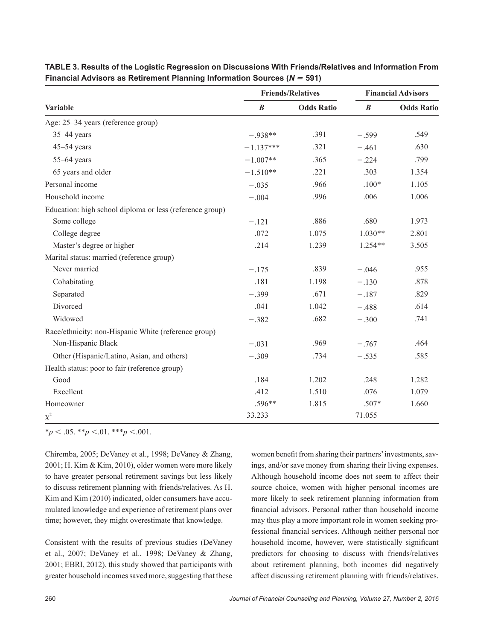|                                                          | <b>Friends/Relatives</b> |                   | <b>Financial Advisors</b> |                   |
|----------------------------------------------------------|--------------------------|-------------------|---------------------------|-------------------|
| Variable                                                 | $\boldsymbol{B}$         | <b>Odds Ratio</b> | $\boldsymbol{B}$          | <b>Odds Ratio</b> |
| Age: 25-34 years (reference group)                       |                          |                   |                           |                   |
| $35-44$ years                                            | $-.938**$                | .391              | $-.599$                   | .549              |
| $45 - 54$ years                                          | $-1.137***$              | .321              | $-.461$                   | .630              |
| $55-64$ years                                            | $-1.007**$               | .365              | $-.224$                   | .799              |
| 65 years and older                                       | $-1.510**$               | .221              | .303                      | 1.354             |
| Personal income                                          | $-.035$                  | .966              | $.100*$                   | 1.105             |
| Household income                                         | $-.004$                  | .996              | .006                      | 1.006             |
| Education: high school diploma or less (reference group) |                          |                   |                           |                   |
| Some college                                             | $-.121$                  | .886              | .680                      | 1.973             |
| College degree                                           | .072                     | 1.075             | $1.030**$                 | 2.801             |
| Master's degree or higher                                | .214                     | 1.239             | 1.254**                   | 3.505             |
| Marital status: married (reference group)                |                          |                   |                           |                   |
| Never married                                            | $-.175$                  | .839              | $-.046$                   | .955              |
| Cohabitating                                             | .181                     | 1.198             | $-.130$                   | .878              |
| Separated                                                | $-.399$                  | .671              | $-.187$                   | .829              |
| Divorced                                                 | .041                     | 1.042             | $-.488$                   | .614              |
| Widowed                                                  | $-.382$                  | .682              | $-.300$                   | .741              |
| Race/ethnicity: non-Hispanic White (reference group)     |                          |                   |                           |                   |
| Non-Hispanic Black                                       | $-.031$                  | .969              | $-.767$                   | .464              |
| Other (Hispanic/Latino, Asian, and others)               | $-.309$                  | .734              | $-.535$                   | .585              |
| Health status: poor to fair (reference group)            |                          |                   |                           |                   |
| Good                                                     | .184                     | 1.202             | .248                      | 1.282             |
| Excellent                                                | .412                     | 1.510             | .076                      | 1.079             |
| Homeowner                                                | $.596**$                 | 1.815             | $.507*$                   | 1.660             |
| $\chi^2$                                                 | 33.233                   |                   | 71.055                    |                   |

**TABLE 3. Results of the Logistic Regression on Discussions With Friends/Relatives and Information From Financial Advisors as Retirement Planning Information Sources (***N 5* **591)**

 $*_{p}$  < .05.  $*_{p}$  < .01.  $*_{p}$  < .001.

Chiremba, 2005; DeVaney et al., 1998; DeVaney & Zhang, 2001; H. Kim & Kim, 2010), older women were more likely to have greater personal retirement savings but less likely to discuss retirement planning with friends/relatives. As H. Kim and Kim (2010) indicated, older consumers have accumulated knowledge and experience of retirement plans over time; however, they might overestimate that knowledge.

Consistent with the results of previous studies (DeVaney et al., 2007; DeVaney et al., 1998; DeVaney & Zhang, 2001; EBRI, 2012), this study showed that participants with greater household incomes saved more, suggesting that these

women benefit from sharing their partners' investments, savings, and/or save money from sharing their living expenses. Although household income does not seem to affect their source choice, women with higher personal incomes are more likely to seek retirement planning information from financial advisors. Personal rather than household income may thus play a more important role in women seeking professional financial services. Although neither personal nor household income, however, were statistically significant predictors for choosing to discuss with friends/relatives about retirement planning, both incomes did negatively affect discussing retirement planning with friends/relatives.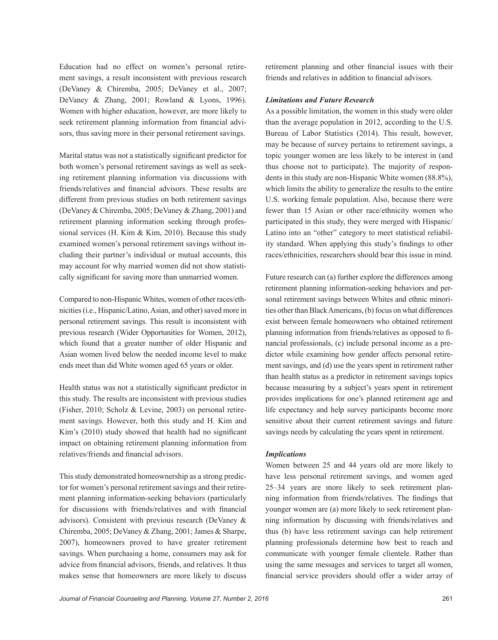Education had no effect on women's personal retirement savings, a result inconsistent with previous research (DeVaney & Chiremba, 2005; DeVaney et al., 2007; DeVaney & Zhang, 2001; Rowland & Lyons, 1996). Women with higher education, however, are more likely to seek retirement planning information from financial advisors, thus saving more in their personal retirement savings.

Marital status was not a statistically significant predictor for both women's personal retirement savings as well as seeking retirement planning information via discussions with friends/relatives and financial advisors. These results are different from previous studies on both retirement savings (DeVaney & Chiremba, 2005; DeVaney & Zhang, 2001) and retirement planning information seeking through professional services (H. Kim & Kim, 2010). Because this study examined women's personal retirement savings without including their partner's individual or mutual accounts, this may account for why married women did not show statistically significant for saving more than unmarried women.

Compared to non-Hispanic Whites, women of other races/ethnicities (i.e., Hispanic/Latino, Asian, and other) saved more in personal retirement savings. This result is inconsistent with previous research (Wider Opportunities for Women, 2012), which found that a greater number of older Hispanic and Asian women lived below the needed income level to make ends meet than did White women aged 65 years or older.

Health status was not a statistically significant predictor in this study. The results are inconsistent with previous studies (Fisher, 2010; Scholz & Levine, 2003) on personal retirement savings. However, both this study and H. Kim and Kim's (2010) study showed that health had no significant impact on obtaining retirement planning information from relatives/friends and financial advisors.

This study demonstrated homeownership as a strong predictor for women's personal retirement savings and their retirement planning information-seeking behaviors (particularly for discussions with friends/relatives and with financial advisors). Consistent with previous research (DeVaney & Chiremba, 2005; DeVaney & Zhang, 2001; James & Sharpe, 2007), homeowners proved to have greater retirement savings. When purchasing a home, consumers may ask for advice from financial advisors, friends, and relatives. It thus makes sense that homeowners are more likely to discuss retirement planning and other financial issues with their friends and relatives in addition to financial advisors.

## *Limitations and Future Research*

As a possible limitation, the women in this study were older than the average population in 2012, according to the U.S. Bureau of Labor Statistics (2014). This result, however, may be because of survey pertains to retirement savings, a topic younger women are less likely to be interest in (and thus choose not to participate). The majority of respondents in this study are non-Hispanic White women (88.8%), which limits the ability to generalize the results to the entire U.S. working female population. Also, because there were fewer than 15 Asian or other race/ethnicity women who participated in this study, they were merged with Hispanic/ Latino into an "other" category to meet statistical reliability standard. When applying this study's findings to other races/ethnicities, researchers should bear this issue in mind.

Future research can (a) further explore the differences among retirement planning information-seeking behaviors and personal retirement savings between Whites and ethnic minorities other than Black Americans, (b) focus on what differences exist between female homeowners who obtained retirement planning information from friends/relatives as opposed to financial professionals, (c) include personal income as a predictor while examining how gender affects personal retirement savings, and (d) use the years spent in retirement rather than health status as a predictor in retirement savings topics because measuring by a subject's years spent in retirement provides implications for one's planned retirement age and life expectancy and help survey participants become more sensitive about their current retirement savings and future savings needs by calculating the years spent in retirement.

#### *Implications*

Women between 25 and 44 years old are more likely to have less personal retirement savings, and women aged 25–34 years are more likely to seek retirement planning information from friends/relatives. The findings that younger women are (a) more likely to seek retirement planning information by discussing with friends/relatives and thus (b) have less retirement savings can help retirement planning professionals determine how best to reach and communicate with younger female clientele. Rather than using the same messages and services to target all women, financial service providers should offer a wider array of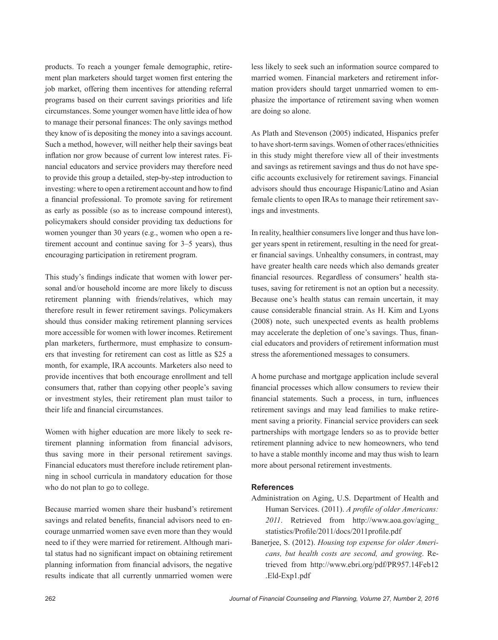products. To reach a younger female demographic, retirement plan marketers should target women first entering the job market, offering them incentives for attending referral programs based on their current savings priorities and life circumstances. Some younger women have little idea of how to manage their personal finances: The only savings method they know of is depositing the money into a savings account. Such a method, however, will neither help their savings beat inflation nor grow because of current low interest rates. Financial educators and service providers may therefore need to provide this group a detailed, step-by-step introduction to investing: where to open a retirement account and how to find a financial professional. To promote saving for retirement as early as possible (so as to increase compound interest), policymakers should consider providing tax deductions for women younger than 30 years (e.g., women who open a retirement account and continue saving for 3–5 years), thus encouraging participation in retirement program.

This study's findings indicate that women with lower personal and/or household income are more likely to discuss retirement planning with friends/relatives, which may therefore result in fewer retirement savings. Policymakers should thus consider making retirement planning services more accessible for women with lower incomes. Retirement plan marketers, furthermore, must emphasize to consumers that investing for retirement can cost as little as \$25 a month, for example, IRA accounts. Marketers also need to provide incentives that both encourage enrollment and tell consumers that, rather than copying other people's saving or investment styles, their retirement plan must tailor to their life and financial circumstances.

Women with higher education are more likely to seek retirement planning information from financial advisors, thus saving more in their personal retirement savings. Financial educators must therefore include retirement planning in school curricula in mandatory education for those who do not plan to go to college.

Because married women share their husband's retirement savings and related benefits, financial advisors need to encourage unmarried women save even more than they would need to if they were married for retirement. Although marital status had no significant impact on obtaining retirement planning information from financial advisors, the negative results indicate that all currently unmarried women were

less likely to seek such an information source compared to married women. Financial marketers and retirement information providers should target unmarried women to emphasize the importance of retirement saving when women are doing so alone.

As Plath and Stevenson (2005) indicated, Hispanics prefer to have short-term savings. Women of other races/ethnicities in this study might therefore view all of their investments and savings as retirement savings and thus do not have specific accounts exclusively for retirement savings. Financial advisors should thus encourage Hispanic/Latino and Asian female clients to open IRAs to manage their retirement savings and investments.

In reality, healthier consumers live longer and thus have longer years spent in retirement, resulting in the need for greater financial savings. Unhealthy consumers, in contrast, may have greater health care needs which also demands greater financial resources. Regardless of consumers' health statuses, saving for retirement is not an option but a necessity. Because one's health status can remain uncertain, it may cause considerable financial strain. As H. Kim and Lyons (2008) note, such unexpected events as health problems may accelerate the depletion of one's savings. Thus, financial educators and providers of retirement information must stress the aforementioned messages to consumers.

A home purchase and mortgage application include several financial processes which allow consumers to review their financial statements. Such a process, in turn, influences retirement savings and may lead families to make retirement saving a priority. Financial service providers can seek partnerships with mortgage lenders so as to provide better retirement planning advice to new homeowners, who tend to have a stable monthly income and may thus wish to learn more about personal retirement investments.

## **References**

- Administration on Aging, U.S. Department of Health and Human Services. (2011). *A profile of older Americans: 2011*. Retrieved from [http://www.aoa.gov/aging\\_](http://www.aoa.gov/aging_statistics/Profile/2011/docs/2011profile.pdf) [statistics/Profile/2011/docs/2011profile.pdf](http://www.aoa.gov/aging_statistics/Profile/2011/docs/2011profile.pdf)
- Banerjee, S. (2012). *Housing top expense for older Americans, but health costs are second, and growing*. Retrieved from [http://www.ebri.org/pdf/PR957.14Feb12](http://www.ebri.org/pdf/PR957.14Feb12.Eld-Exp1.pdf) [.Eld-Exp1.pdf](http://www.ebri.org/pdf/PR957.14Feb12.Eld-Exp1.pdf)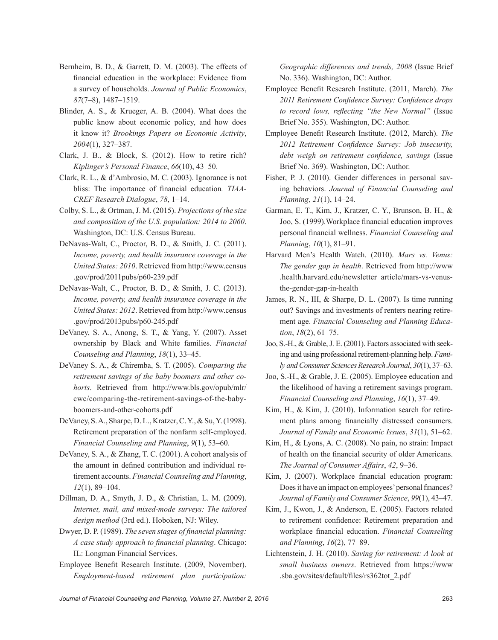- Bernheim, B. D., & Garrett, D. M. (2003). The effects of financial education in the workplace: Evidence from a survey of households. *Journal of Public Economics*, *87*(7–8), 1487–1519.
- Blinder, A. S., & Krueger, A. B. (2004). What does the public know about economic policy, and how does it know it? *Brookings Papers on Economic Activity*, *2004*(1), 327–387.
- Clark, J. B., & Block, S. (2012). How to retire rich? *Kiplinger's Personal Finance*, *66*(10), 43–50.
- Clark, R. L., & d'Ambrosio, M. C. (2003). Ignorance is not bliss: The importance of financial education*. TIAA-CREF Research Dialogue*, *78*, 1–14.
- Colby, S. L., & Ortman, J. M. (2015). *Projections of the size and composition of the U.S. population: 2014 to 2060*. Washington, DC: U.S. Census Bureau.
- DeNavas-Walt, C., Proctor, B. D., & Smith, J. C. (2011). *Income, poverty, and health insurance coverage in the United States: 2010*. Retrieved from [http://www.census](http://www.census.gov/prod/2011pubs/p60-239.pdf) [.gov/prod/2011pubs/p60-239.pdf](http://www.census.gov/prod/2011pubs/p60-239.pdf)
- DeNavas-Walt, C., Proctor, B. D., & Smith, J. C. (2013). *Income, poverty, and health insurance coverage in the United States: 2012*. Retrieved from [http://www.census](http://www.census.gov/prod/2013pubs/p60-245.pdf) [.gov/prod/2013pubs/p60-245.pdf](http://www.census.gov/prod/2013pubs/p60-245.pdf)
- DeVaney, S. A., Anong, S. T., & Yang, Y. (2007). Asset ownership by Black and White families. *Financial Counseling and Planning*, *18*(1), 33–45.
- DeVaney S. A., & Chiremba, S. T. (2005). *Comparing the retirement savings of the baby boomers and other cohorts*. Retrieved from [http://www.bls.gov/opub/mlr/](http://www.bls.gov/opub/mlr/cwc/comparing-the-retirement-savings-of-the-baby-boomers-and-other-cohorts.pdf) [cwc/comparing-the-retirement-savings-of-the-baby](http://www.bls.gov/opub/mlr/cwc/comparing-the-retirement-savings-of-the-baby-boomers-and-other-cohorts.pdf)[boomers-and-other-cohorts.pdf](http://www.bls.gov/opub/mlr/cwc/comparing-the-retirement-savings-of-the-baby-boomers-and-other-cohorts.pdf)
- DeVaney, S. A., Sharpe, D. L., Kratzer, C. Y., & Su, Y. (1998). Retirement preparation of the nonfarm self-employed. *Financial Counseling and Planning*, *9*(1), 53–60.
- DeVaney, S. A., & Zhang, T. C. (2001). A cohort analysis of the amount in defined contribution and individual retirement accounts. *Financial Counseling and Planning*, *12*(1), 89–104.
- Dillman, D. A., Smyth, J. D., & Christian, L. M. (2009). *Internet, mail, and mixed-mode surveys: The tailored design method* (3rd ed.). Hoboken, NJ: Wiley.
- Dwyer, D. P. (1989). *The seven stages of financial planning: A case study approach to financial planning*. Chicago: IL: Longman Financial Services.
- Employee Benefit Research Institute. (2009, November). *Employment-based retirement plan participation:*

*Geographic differences and trends, 2008* (Issue Brief No. 336). Washington, DC: Author.

- Employee Benefit Research Institute. (2011, March). *The 2011 Retirement Confidence Survey: Confidence drops to record lows, reflecting "the New Normal"* (Issue Brief No. 355). Washington, DC: Author.
- Employee Benefit Research Institute. (2012, March). *The 2012 Retirement Confidence Survey: Job insecurity, debt weigh on retirement confidence, savings* (Issue Brief No. 369). Washington, DC: Author.
- Fisher, P. J. (2010). Gender differences in personal saving behaviors. *Journal of Financial Counseling and Planning*, *21*(1), 14–24.
- Garman, E. T., Kim, J., Kratzer, C. Y., Brunson, B. H., & Joo, S. (1999).Workplace financial education improves personal financial wellness. *Financial Counseling and Planning*, *10*(1), 81–91.
- Harvard Men's Health Watch. (2010). *Mars vs. Venus: The gender gap in health*. Retrieved from [http://www](http://www.health.harvard.edu/newsletter_article/mars-vs-venus-the-gender-gap-in-health) [.health.harvard.edu/newsletter\\_article/mars-vs-venus](http://www.health.harvard.edu/newsletter_article/mars-vs-venus-the-gender-gap-in-health)[the-gender-gap-in-health](http://www.health.harvard.edu/newsletter_article/mars-vs-venus-the-gender-gap-in-health)
- James, R. N., III, & Sharpe, D. L. (2007). Is time running out? Savings and investments of renters nearing retirement age. *Financial Counseling and Planning Education*, *18*(2), 61–75.
- Joo, S.-H., & Grable, J. E. (2001). Factors associated with seeking and using professional retirement-planning help. *Family and Consumer Sciences Research Journal*, *30*(1), 37–63.
- Joo, S.-H., & Grable, J. E. (2005). Employee education and the likelihood of having a retirement savings program. *Financial Counseling and Planning*, *16*(1), 37–49.
- Kim, H., & Kim, J. (2010). Information search for retirement plans among financially distressed consumers. *Journal of Family and Economic Issues*, *31*(1), 51–62.
- Kim, H., & Lyons, A. C. (2008). No pain, no strain: Impact of health on the financial security of older Americans. *The Journal of Consumer Affairs*, *42*, 9–36.
- Kim, J. (2007). Workplace financial education program: Does it have an impact on employees' personal finances? *Journal of Family and Consumer Science*, *99*(1), 43–47.
- Kim, J., Kwon, J., & Anderson, E. (2005). Factors related to retirement confidence: Retirement preparation and workplace financial education. *Financial Counseling and Planning*, *16*(2), 77–89.
- Lichtenstein, J. H. (2010). *Saving for retirement: A look at small business owners*. Retrieved from [https://www](https://www.sba.gov/sites/default/files/rs362tot_2.pdf) [.sba.gov/sites/default/files/rs362tot\\_2.pdf](https://www.sba.gov/sites/default/files/rs362tot_2.pdf)